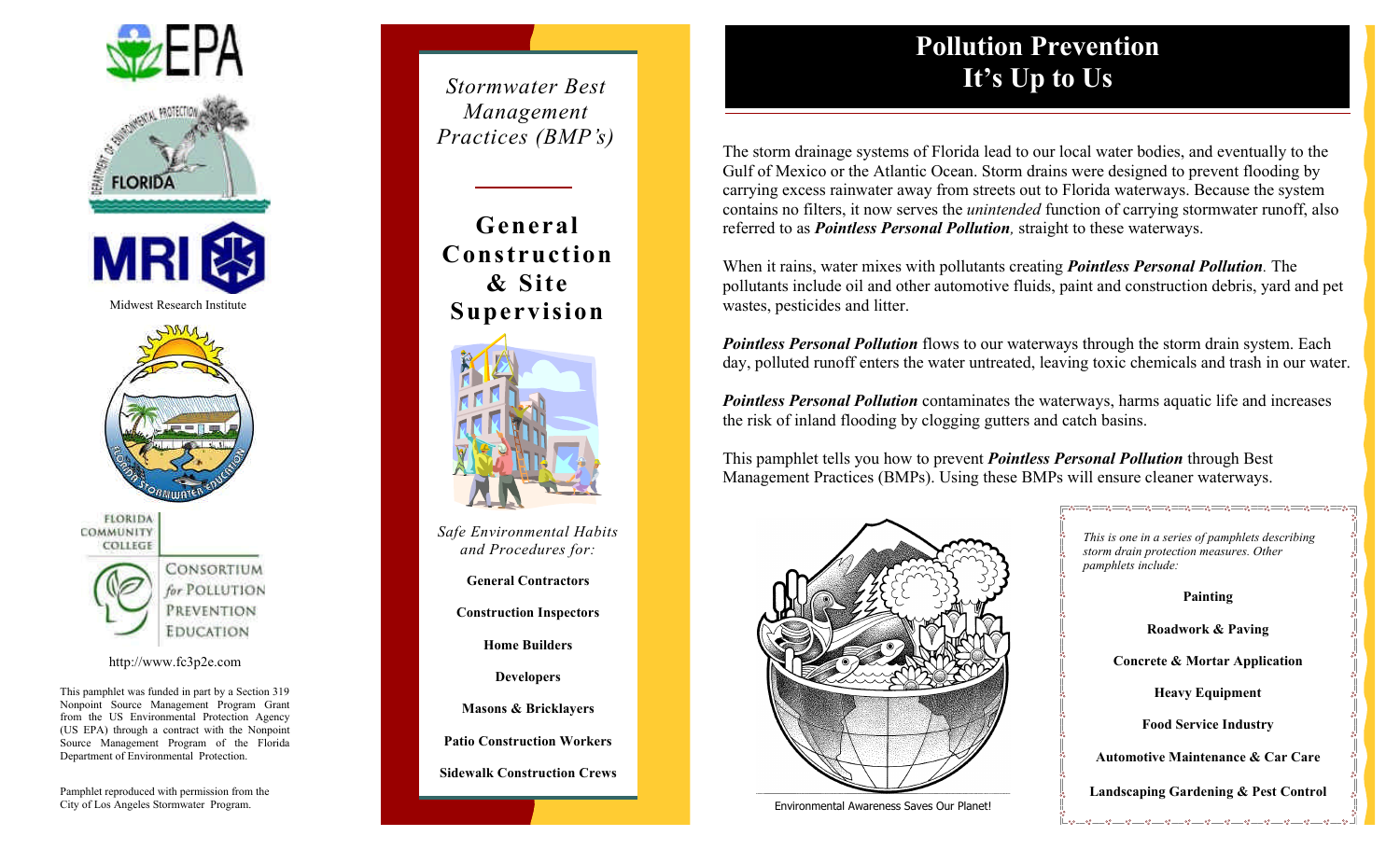



CONSORTIUM for POLLUTION PREVENTION **EDUCATION** 

#### http://www.fc3p2e.com

This pamphlet was funded in part by a Section 319 Nonpoint Source Management Program Grant from the US Environmental Protection Agency (US EPA) through a contract with the Nonpoint Source Management Program of the Florida Department of Environmental Protection.

City of Los Angeles Stormwater Program.

*Management Practices (BMP's)*

**General Construction & Site Supervision**



*Safe Environmental Habits and Procedures for:*

**General Contractors**

**Construction Inspectors**

**Home Builders**

**Developers**

**Masons & Bricklayers**

**Patio Construction Workers**

**Sidewalk Construction Crews**

## **Pollution Prevention It's Up to Us** *Stormwater Best*

The storm drainage systems of Florida lead to our local water bodies, and eventually to the Gulf of Mexico or the Atlantic Ocean. Storm drains were designed to prevent flooding by carrying excess rainwater away from streets out to Florida waterways. Because the system contains no filters, it now serves the *unintended* function of carrying stormwater runoff, also referred to as *Pointless Personal Pollution,* straight to these waterways.

When it rains, water mixes with pollutants creating *Pointless Personal Pollution.* The pollutants include oil and other automotive fluids, paint and construction debris, yard and pet wastes, pesticides and litter.

*Pointless Personal Pollution* flows to our waterways through the storm drain system. Each day, polluted runoff enters the water untreated, leaving toxic chemicals and trash in our water.

*Pointless Personal Pollution* contaminates the waterways, harms aquatic life and increases the risk of inland flooding by clogging gutters and catch basins.

This pamphlet tells you how to prevent *Pointless Personal Pollution* through Best Management Practices (BMPs). Using these BMPs will ensure cleaner waterways.



 *Environmental Awareness Saves Our Planet!*